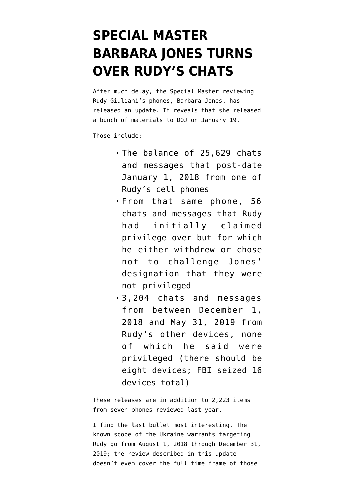## **[SPECIAL MASTER](https://www.emptywheel.net/2022/01/21/special-master-barbara-jones-turns-over-rudys-chats/) [BARBARA JONES TURNS](https://www.emptywheel.net/2022/01/21/special-master-barbara-jones-turns-over-rudys-chats/) [OVER RUDY'S CHATS](https://www.emptywheel.net/2022/01/21/special-master-barbara-jones-turns-over-rudys-chats/)**

After much delay, the Special Master reviewing Rudy Giuliani's phones, Barbara Jones, has released [an update.](https://storage.courtlistener.com/recap/gov.uscourts.nysd.559603/gov.uscourts.nysd.559603.50.0.pdf) It reveals that she released a bunch of materials to DOJ on January 19.

Those include:

- The balance of 25,629 chats and messages that post-date January 1, 2018 from one of Rudy's cell phones
- From that same phone, 56 chats and messages that Rudy had initially claimed privilege over but for which he either withdrew or chose not to challenge Jones' designation that they were not privileged
- 3,204 chats and messages from between December 1, 2018 and May 31, 2019 from Rudy's other devices, none of which he said were privileged (there should be eight devices; FBI seized 16 devices total)

These releases are in addition to 2,223 items from seven phones [reviewed last year](https://storage.courtlistener.com/recap/gov.uscourts.nysd.559603/gov.uscourts.nysd.559603.48.0.pdf).

I find the last bullet most interesting. The known scope of the Ukraine warrants targeting Rudy go from August 1, 2018 through December 31, 2019; the review described in this update doesn't even cover the full time frame of those